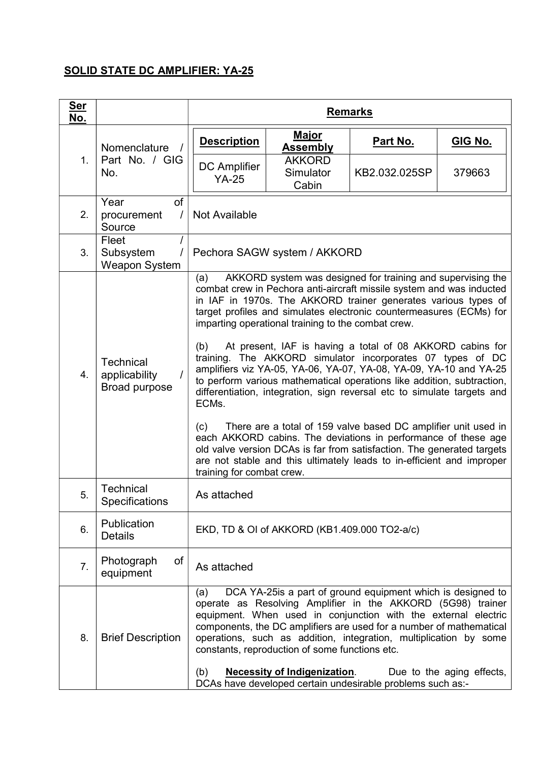## SOLID STATE DC AMPLIFIER: YA-25

| <u>Ser</u><br>No. |                                                    | <b>Remarks</b>                                                                                                                                                                                                                                                                                                                                                                                                                                                                                                                                                                                                                                                                                                                                                                                                                                                                                                                                                                                               |                                     |               |         |  |
|-------------------|----------------------------------------------------|--------------------------------------------------------------------------------------------------------------------------------------------------------------------------------------------------------------------------------------------------------------------------------------------------------------------------------------------------------------------------------------------------------------------------------------------------------------------------------------------------------------------------------------------------------------------------------------------------------------------------------------------------------------------------------------------------------------------------------------------------------------------------------------------------------------------------------------------------------------------------------------------------------------------------------------------------------------------------------------------------------------|-------------------------------------|---------------|---------|--|
|                   | Nomenclature                                       | <b>Description</b>                                                                                                                                                                                                                                                                                                                                                                                                                                                                                                                                                                                                                                                                                                                                                                                                                                                                                                                                                                                           | <u>Major</u><br><b>Assembly</b>     | Part No.      | GIG No. |  |
| 1.                | Part No. / GIG<br>No.                              | <b>DC</b> Amplifier<br>$YA-25$                                                                                                                                                                                                                                                                                                                                                                                                                                                                                                                                                                                                                                                                                                                                                                                                                                                                                                                                                                               | <b>AKKORD</b><br>Simulator<br>Cabin | KB2.032.025SP | 379663  |  |
| 2.                | of<br>Year<br>procurement<br>Source                | Not Available                                                                                                                                                                                                                                                                                                                                                                                                                                                                                                                                                                                                                                                                                                                                                                                                                                                                                                                                                                                                |                                     |               |         |  |
| 3.                | Fleet<br>Subsystem<br><b>Weapon System</b>         | Pechora SAGW system / AKKORD                                                                                                                                                                                                                                                                                                                                                                                                                                                                                                                                                                                                                                                                                                                                                                                                                                                                                                                                                                                 |                                     |               |         |  |
| 4.                | <b>Technical</b><br>applicability<br>Broad purpose | AKKORD system was designed for training and supervising the<br>(a)<br>combat crew in Pechora anti-aircraft missile system and was inducted<br>in IAF in 1970s. The AKKORD trainer generates various types of<br>target profiles and simulates electronic countermeasures (ECMs) for<br>imparting operational training to the combat crew.<br>At present, IAF is having a total of 08 AKKORD cabins for<br>(b)<br>training. The AKKORD simulator incorporates 07 types of DC<br>amplifiers viz YA-05, YA-06, YA-07, YA-08, YA-09, YA-10 and YA-25<br>to perform various mathematical operations like addition, subtraction,<br>differentiation, integration, sign reversal etc to simulate targets and<br>ECMs.<br>There are a total of 159 valve based DC amplifier unit used in<br>(c)<br>each AKKORD cabins. The deviations in performance of these age<br>old valve version DCAs is far from satisfaction. The generated targets<br>are not stable and this ultimately leads to in-efficient and improper |                                     |               |         |  |
| 5.                | Technical<br><b>Specifications</b>                 | training for combat crew.<br>As attached                                                                                                                                                                                                                                                                                                                                                                                                                                                                                                                                                                                                                                                                                                                                                                                                                                                                                                                                                                     |                                     |               |         |  |
| 6.                | Publication<br><b>Details</b>                      | EKD, TD & OI of AKKORD (KB1.409.000 TO2-a/c)                                                                                                                                                                                                                                                                                                                                                                                                                                                                                                                                                                                                                                                                                                                                                                                                                                                                                                                                                                 |                                     |               |         |  |
| 7.                | of<br>Photograph<br>equipment                      | As attached                                                                                                                                                                                                                                                                                                                                                                                                                                                                                                                                                                                                                                                                                                                                                                                                                                                                                                                                                                                                  |                                     |               |         |  |
| 8.                | <b>Brief Description</b>                           | DCA YA-25 is a part of ground equipment which is designed to<br>(a)<br>operate as Resolving Amplifier in the AKKORD (5G98) trainer<br>equipment. When used in conjunction with the external electric<br>components, the DC amplifiers are used for a number of mathematical<br>operations, such as addition, integration, multiplication by some<br>constants, reproduction of some functions etc.<br><b>Necessity of Indigenization.</b><br>Due to the aging effects,<br>(b)<br>DCAs have developed certain undesirable problems such as:-                                                                                                                                                                                                                                                                                                                                                                                                                                                                  |                                     |               |         |  |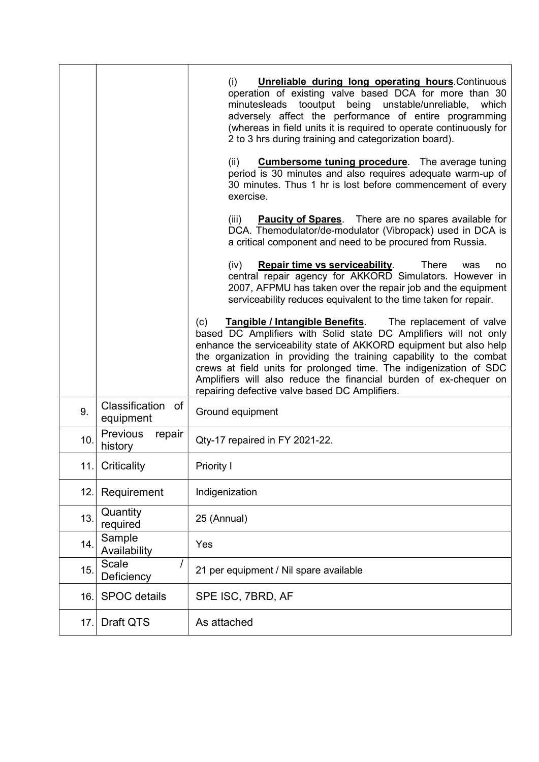|     |                                      | (i)<br><b>Unreliable during long operating hours. Continuous</b><br>operation of existing valve based DCA for more than 30<br>minutesleads tooutput being unstable/unreliable, which<br>adversely affect the performance of entire programming<br>(whereas in field units it is required to operate continuously for<br>2 to 3 hrs during training and categorization board).                                                      |
|-----|--------------------------------------|------------------------------------------------------------------------------------------------------------------------------------------------------------------------------------------------------------------------------------------------------------------------------------------------------------------------------------------------------------------------------------------------------------------------------------|
|     |                                      | (ii)<br><b>Cumbersome tuning procedure</b> . The average tuning<br>period is 30 minutes and also requires adequate warm-up of<br>30 minutes. Thus 1 hr is lost before commencement of every<br>exercise.                                                                                                                                                                                                                           |
|     |                                      | <b>Paucity of Spares</b> . There are no spares available for<br>(iii)<br>DCA. Themodulator/de-modulator (Vibropack) used in DCA is<br>a critical component and need to be procured from Russia.                                                                                                                                                                                                                                    |
|     |                                      | (iv)<br>There<br><b>Repair time vs serviceability.</b><br>was<br>no.<br>central repair agency for AKKORD Simulators. However in<br>2007, AFPMU has taken over the repair job and the equipment<br>serviceability reduces equivalent to the time taken for repair.                                                                                                                                                                  |
|     |                                      | <b>Tangible / Intangible Benefits.</b> The replacement of valve<br>(c)<br>based DC Amplifiers with Solid state DC Amplifiers will not only<br>enhance the serviceability state of AKKORD equipment but also help<br>the organization in providing the training capability to the combat<br>crews at field units for prolonged time. The indigenization of SDC<br>Amplifiers will also reduce the financial burden of ex-chequer on |
| 9.  | Classification of<br>equipment       | repairing defective valve based DC Amplifiers.<br>Ground equipment                                                                                                                                                                                                                                                                                                                                                                 |
| 10. | <b>Previous</b><br>repair<br>history | Qty-17 repaired in FY 2021-22.                                                                                                                                                                                                                                                                                                                                                                                                     |
| 11. | Criticality                          | <b>Priority I</b>                                                                                                                                                                                                                                                                                                                                                                                                                  |
| 12. | Requirement                          | Indigenization                                                                                                                                                                                                                                                                                                                                                                                                                     |
| 13. | Quantity<br>required                 | 25 (Annual)                                                                                                                                                                                                                                                                                                                                                                                                                        |
| 14. | Sample<br>Availability               | Yes                                                                                                                                                                                                                                                                                                                                                                                                                                |
| 15. | <b>Scale</b><br>Deficiency           | 21 per equipment / Nil spare available                                                                                                                                                                                                                                                                                                                                                                                             |
| 16. | <b>SPOC</b> details                  | SPE ISC, 7BRD, AF                                                                                                                                                                                                                                                                                                                                                                                                                  |
| 17. | Draft QTS                            | As attached                                                                                                                                                                                                                                                                                                                                                                                                                        |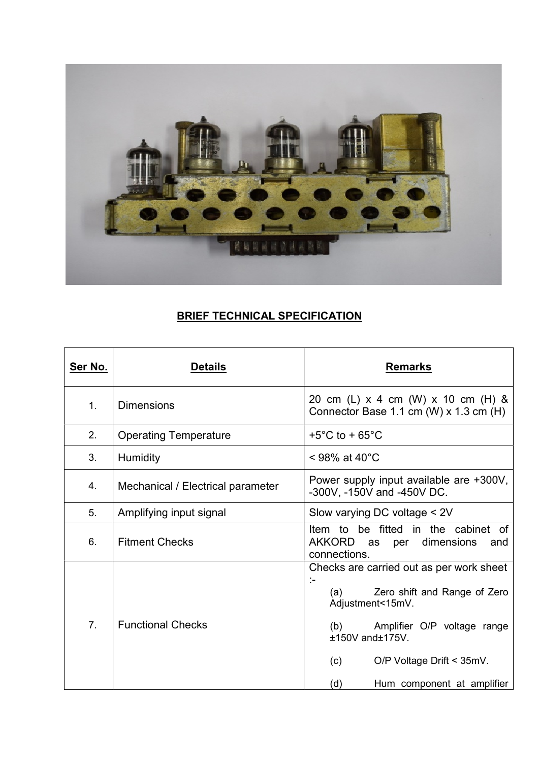

## **BRIEF TECHNICAL SPECIFICATION**

| <u>Ser No.</u> | <b>Details</b>                                                                                             | <b>Remarks</b>                                                                                                                                                                                                                                 |  |
|----------------|------------------------------------------------------------------------------------------------------------|------------------------------------------------------------------------------------------------------------------------------------------------------------------------------------------------------------------------------------------------|--|
| $\mathbf{1}$ . | <b>Dimensions</b>                                                                                          | 20 cm (L) x 4 cm (W) x 10 cm (H) &<br>Connector Base 1.1 cm (W) x 1.3 cm (H)                                                                                                                                                                   |  |
| 2.             | <b>Operating Temperature</b>                                                                               | +5 $^{\circ}$ C to + 65 $^{\circ}$ C                                                                                                                                                                                                           |  |
| 3.             | $<$ 98% at 40 $^{\circ}$ C<br><b>Humidity</b>                                                              |                                                                                                                                                                                                                                                |  |
| 4.             | Power supply input available are +300V,<br>Mechanical / Electrical parameter<br>-300V, -150V and -450V DC. |                                                                                                                                                                                                                                                |  |
| 5.             | Amplifying input signal                                                                                    | Slow varying DC voltage < 2V                                                                                                                                                                                                                   |  |
| 6.             | <b>Fitment Checks</b>                                                                                      | be fitted in the cabinet of<br>ltem to<br>AKKORD<br>dimensions<br>as<br>per<br>and<br>connections.                                                                                                                                             |  |
| 7 <sub>1</sub> | <b>Functional Checks</b>                                                                                   | Checks are carried out as per work sheet<br>:-<br>Zero shift and Range of Zero<br>(a)<br>Adjustment<15mV.<br>(b) Amplifier O/P voltage range<br>$±150V$ and $±175V$ .<br>O/P Voltage Drift < 35mV.<br>(c)<br>(d)<br>Hum component at amplifier |  |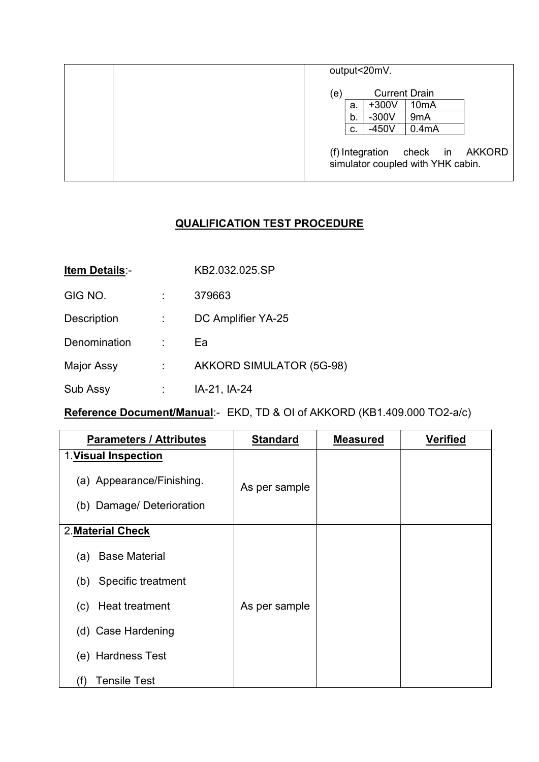|  | output<20mV. |    |                      |                                                      |  |
|--|--------------|----|----------------------|------------------------------------------------------|--|
|  | (e)          |    | <b>Current Drain</b> |                                                      |  |
|  |              | a. | $+300V$              | 10 <sub>m</sub> A                                    |  |
|  |              | b. | $-300V$              | 9 <sub>m</sub> A                                     |  |
|  |              | C. | $-450V$              | 0.4 <sub>m</sub> A                                   |  |
|  |              |    | (f) Integration      | check in AKKORD<br>simulator coupled with YHK cabin. |  |

## QUALIFICATION TEST PROCEDURE

| <b>Item Details:-</b> | KB2.032.025.SP           |
|-----------------------|--------------------------|
| GIG NO.               | 379663                   |
| <b>Description</b>    | DC Amplifier YA-25       |
| Denomination          | Ea                       |
| Major Assy            | AKKORD SIMULATOR (5G-98) |
| Sub Assy              | IA-21, IA-24             |

## Reference Document/Manual:- EKD, TD & OI of AKKORD (KB1.409.000 TO2-a/c)

| <b>Parameters / Attributes</b> | <b>Standard</b> | <b>Measured</b> | <b>Verified</b> |
|--------------------------------|-----------------|-----------------|-----------------|
| 1. Visual Inspection           |                 |                 |                 |
| (a) Appearance/Finishing.      | As per sample   |                 |                 |
| (b) Damage/Deterioration       |                 |                 |                 |
| 2. Material Check              |                 |                 |                 |
|                                |                 |                 |                 |
| <b>Base Material</b><br>(a)    |                 |                 |                 |
| Specific treatment<br>(b)      |                 |                 |                 |
| (c) Heat treatment             | As per sample   |                 |                 |
| (d) Case Hardening             |                 |                 |                 |
| (e) Hardness Test              |                 |                 |                 |
| <b>Tensile Test</b><br>(f)     |                 |                 |                 |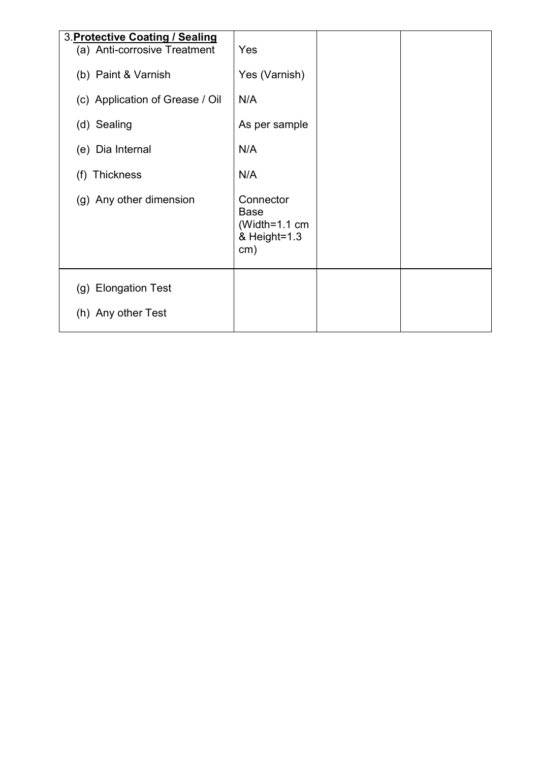| 3. Protective Coating / Sealing<br>(a) Anti-corrosive Treatment<br>(b) Paint & Varnish<br>(c) Application of Grease / Oil<br>(d) Sealing<br>(e) Dia Internal | Yes<br>Yes (Varnish)<br>N/A<br>As per sample<br>N/A |  |
|--------------------------------------------------------------------------------------------------------------------------------------------------------------|-----------------------------------------------------|--|
| (f) Thickness<br>(g) Any other dimension                                                                                                                     | N/A<br>Connector<br>Base<br>(Width=1.1 cm           |  |
| (g) Elongation Test<br>(h) Any other Test                                                                                                                    | & Height=1.3<br>cm)                                 |  |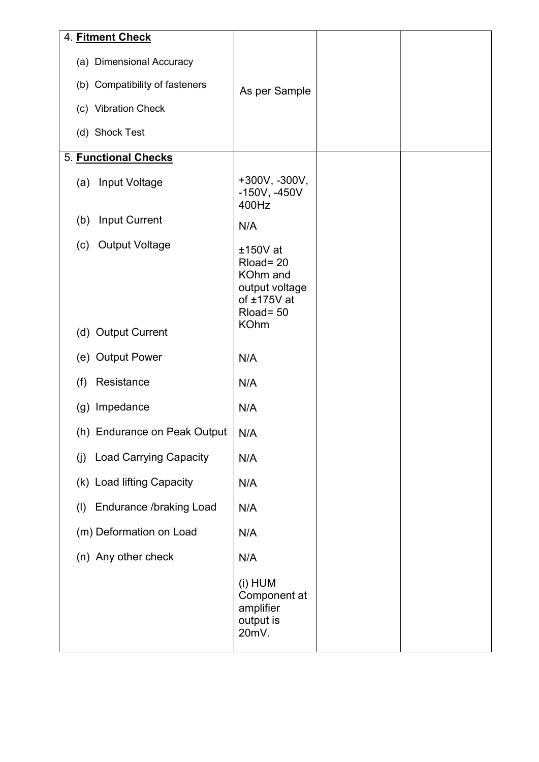| 4. Fitment Check                         |                                                                                                 |  |
|------------------------------------------|-------------------------------------------------------------------------------------------------|--|
| (a) Dimensional Accuracy                 |                                                                                                 |  |
| (b) Compatibility of fasteners           | As per Sample                                                                                   |  |
| (c) Vibration Check                      |                                                                                                 |  |
| (d) Shock Test                           |                                                                                                 |  |
| 5. Functional Checks                     |                                                                                                 |  |
| Input Voltage<br>(a)                     | +300V, -300V,<br>$-150V, -450V$<br>400Hz                                                        |  |
| <b>Input Current</b><br>(b)              | N/A                                                                                             |  |
| (c) Output Voltage<br>(d) Output Current | $±150V$ at<br>Rload=20<br>KOhm and<br>output voltage<br>of ±175V at<br>Rload= 50<br><b>KOhm</b> |  |
| (e) Output Power                         | N/A                                                                                             |  |
| Resistance<br>(f)                        | N/A                                                                                             |  |
| (g) Impedance                            | N/A                                                                                             |  |
| (h) Endurance on Peak Output             | N/A                                                                                             |  |
| <b>Load Carrying Capacity</b><br>(j)     | N/A                                                                                             |  |
| (k) Load lifting Capacity                | N/A                                                                                             |  |
| <b>Endurance /braking Load</b><br>(1)    | N/A                                                                                             |  |
| (m) Deformation on Load                  | N/A                                                                                             |  |
| (n) Any other check                      | N/A                                                                                             |  |
|                                          | (i) HUM<br>Component at<br>amplifier<br>output is<br>20mV.                                      |  |